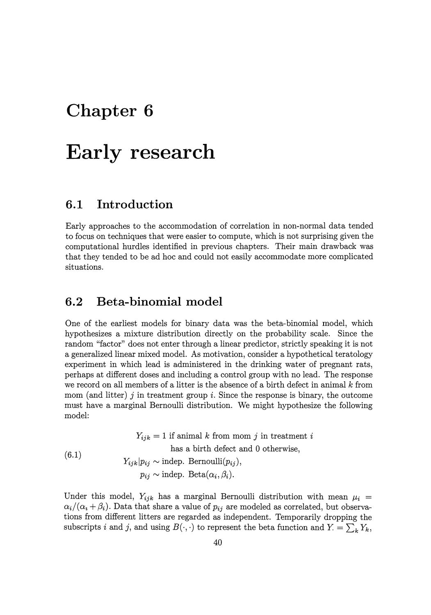# **Chapter 6**

# **Early research**

# **6.1 Introduction**

Early approaches to the accommodation of correlation in non-normal data tended to focus on techniques that were easier to compute, which is not surprising given the computational hurdles identified in previous chapters. Their main drawback was that they tended to be ad hoc and could not easily accommodate more complicated situations.

# **6.2 Beta-binomial model**

One of the earliest models for binary data was the beta-binomial model, which hypothesizes a mixture distribution directly on the probability scale. Since the random "factor" does not enter through a linear predictor, strictly speaking it is not a generalized linear mixed model. As motivation, consider a hypothetical teratology experiment in which lead is administered in the drinking water of pregnant rats, perhaps at different doses and including a control group with no lead. The response we record on all members of a litter is the absence of a birth defect in animal  $k$  from mom (and litter)  $j$  in treatment group  $i$ . Since the response is binary, the outcome must have a marginal Bernoulli distribution. We might hypothesize the following model:

(6.1)  $Y_{ijk} = 1$  if animal *k* from mom *j* in treatment *i* has a birth defect and 0 otherwise,  $Y_{ijk}|p_{ij} \sim \text{indep. Bernoulli}(p_{ij}),$  $p_{ij} \sim \text{indep. Beta}(\alpha_i, \beta_i).$ 

Under this model,  $Y_{ijk}$  has a marginal Bernoulli distribution with mean  $\mu_i =$  $\alpha_i/(\alpha_i + \beta_i)$ . Data that share a value of  $p_{ij}$  are modeled as correlated, but observations from different litters are regarded as independent. Temporarily dropping the subscripts *i* and *j*, and using  $B(\cdot, \cdot)$  to represent the beta function and  $Y = \sum_{k} Y_k$ ,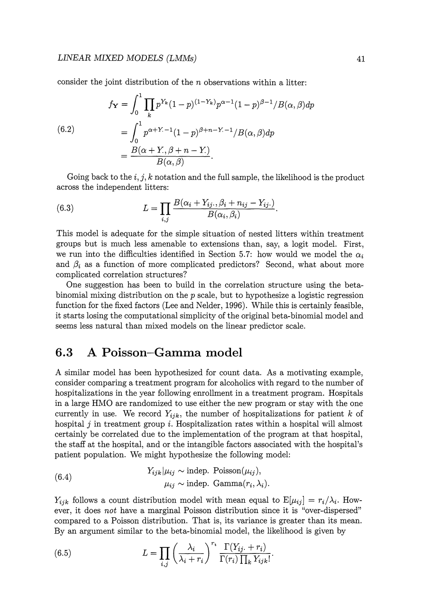consider the joint distribution of the *n* observations within a litter:

(6.2)  

$$
f_{\mathbf{Y}} = \int_0^1 \prod_k p^{Y_k} (1-p)^{(1-Y_k)} p^{\alpha-1} (1-p)^{\beta-1} / B(\alpha, \beta) dp
$$

$$
= \int_0^1 p^{\alpha+Y_- - 1} (1-p)^{\beta+n-Y_- - 1} / B(\alpha, \beta) dp
$$

$$
= \frac{B(\alpha+Y_-, \beta+n-Y_+)}{B(\alpha, \beta)}.
$$

Going back to the i, *j,* k notation and the full sample, the likelihood is the product across the independent litters:

(6.3) 
$$
L = \prod_{i,j} \frac{B(\alpha_i + Y_{ij\cdot}, \beta_i + n_{ij} - Y_{ij\cdot})}{B(\alpha_i, \beta_i)}.
$$

This model is adequate for the simple situation of nested litters within treatment groups but is much less amenable to extensions than, say, a logit model. First, we run into the difficulties identified in Section 5.7: how would we model the  $\alpha_i$ and  $\beta_i$  as a function of more complicated predictors? Second, what about more complicated correlation structures?

One suggestion has been to build in the correlation structure using the betabinomial mixing distribution on the *p* scale, but to hypothesize a logistic regression function for the fixed factors (Lee and Nelder, 1996). While this is certainly feasible, it starts losing the computational simplicity of the original beta-binomial model and seems less natural than mixed models on the linear predictor scale.

# **6.3 A Poisson-Gamma model**

A similar model has been hypothesized for count data. As a motivating example, consider comparing a treatment program for alcoholics with regard to the number of hospitalizations in the year following enrollment in a treatment program. Hospitals in a large HMO are randomized to use either the new program or stay with the one currently in use. We record  $Y_{ijk}$ , the number of hospitalizations for patient *k* of hospital  $j$  in treatment group  $i$ . Hospitalization rates within a hospital will almost certainly be correlated due to the implementation of the program at that hospital, the staff at the hospital, and or the intangible factors associated with the hospital's patient population. We might hypothesize the following model:

(6.4) 
$$
Y_{ijk}|\mu_{ij} \sim \text{indep. Poisson}(\mu_{ij}),
$$

$$
\mu_{ij} \sim \text{indep. Gamma}(r_i, \lambda_i).
$$

 $Y_{ijk}$  follows a count distribution model with mean equal to  $E[\mu_{ij}] = r_i/\lambda_i$ . However, it does *not* have a marginal Poisson distribution since it is "over-dispersed" compared to a Poisson distribution. That is, its variance is greater than its mean. By an argument similar to the beta-binomial model, the likelihood is given by

(6.5) 
$$
L = \prod_{i,j} \left(\frac{\lambda_i}{\lambda_i + r_i}\right)^{r_i} \frac{\Gamma(Y_{ij.} + r_i)}{\Gamma(r_i) \prod_k Y_{ijk}!}.
$$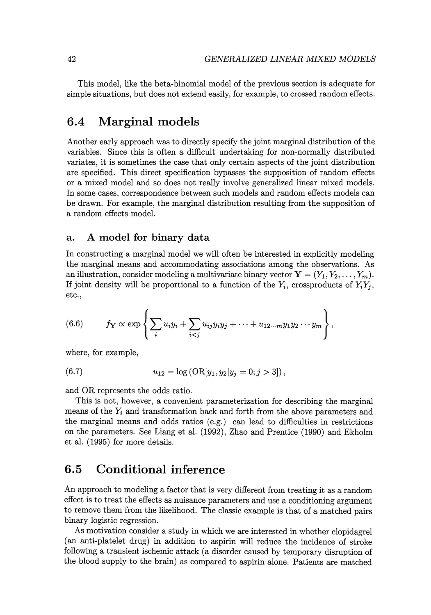This model, like the beta-binomial model of the previous section is adequate for simple situations, but does not extend easily, for example, to crossed random effects.

# **6.4 Marginal models**

Another early approach was to directly specify the joint marginal distribution of the variables. Since this is often a difficult undertaking for non-normally distributed variates, it is sometimes the case that only certain aspects of the joint distribution are specified. This direct specification bypasses the supposition of random effects or a mixed model and so does not really involve generalized linear mixed models. In some cases, correspondence between such models and random effects models can be drawn. For example, the marginal distribution resulting from the supposition of a random effects model.

### a. A **model for binary data**

In constructing a marginal model we will often be interested in explicitly modeling the marginal means and accommodating associations among the observations. As an illustration, consider modeling a multivariate binary vector  $\mathbf{Y} = (Y_1, Y_2, \ldots, Y_m)$ . If joint density will be proportional to a function of the  $Y_i$ , crossproducts of  $Y_iY_j$ , etc.,

(6.6) 
$$
f_{\mathbf{Y}} \propto \exp \left\{ \sum_i u_i y_i + \sum_{i < j} u_{ij} y_i y_j + \cdots + u_{12 \cdots m} y_1 y_2 \cdots y_m \right\},
$$

where, for example,

(6.7) 
$$
u_{12} = \log (\text{OR}[y_1, y_2 | y_j = 0; j > 3])
$$

and OR represents the odds ratio.

This is not, however, a convenient parameterization for describing the marginal means of the  $Y_i$  and transformation back and forth from the above parameters and the marginal means and odds ratios (e.g.) can lead to difficulties in restrictions on the parameters. See Liang et al. (1992), Zhao and Prentice (1990) and Ekholm et al. (1995) for more details.

## **6.5 Conditional inference**

An approach to modeling a factor that is very different from treating it as a random effect is to treat the effects as nuisance parameters and use a conditioning argument to remove them from the likelihood. The classic example is that of a matched pairs binary logistic regression.

As motivation consider a study in which we are interested in whether clopidagrel (an anti-platelet drug) in addition to aspirin will reduce the incidence of stroke following a transient ischemic attack (a disorder caused by temporary disruption of the blood supply to the brain) as compared to aspirin alone. Patients are matched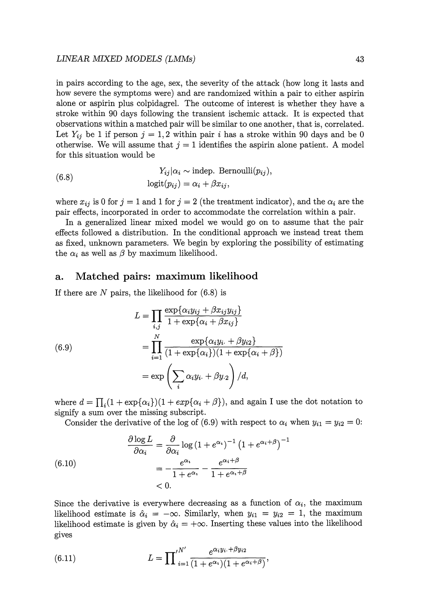#### *LINEAR MIXED MODELS (LMMs)* 43

in pairs according to the age, sex, the severity of the attack (how long it lasts and how severe the symptoms were) and are randomized within a pair to either aspirin alone or aspirin plus colpidagrel. The outcome of interest is whether they have a stroke within 90 days following the transient ischemic attack. It is expected that observations within a matched pair will be similar to one another, that is, correlated. Let  $Y_{ij}$  be 1 if person  $j = 1, 2$  within pair i has a stroke within 90 days and be 0 otherwise. We will assume that  $j = 1$  identifies the aspirin alone patient. A model for this situation would be

(6.8) 
$$
Y_{ij}|\alpha_i \sim \text{indep. Bernoulli}(p_{ij}),
$$

$$
\text{logit}(p_{ij}) = \alpha_i + \beta x_{ij},
$$

where  $x_{ij}$  is 0 for  $j = 1$  and 1 for  $j = 2$  (the treatment indicator), and the  $\alpha_i$  are the pair effects, incorporated in order to accommodate the correlation within a pair.

In a generalized linear mixed model we would go on to assume that the pair effects followed a distribution. In the conditional approach we instead treat them as fixed, unknown parameters. We begin by exploring the possibility of estimating the  $\alpha_i$  as well as  $\beta$  by maximum likelihood.

### **a. Matched pairs: maximum likelihood**

If there are  $N$  pairs, the likelihood for  $(6.8)$  is

(6.9)  
\n
$$
L = \prod_{i,j} \frac{\exp{\{\alpha_i y_{ij} + \beta x_{ij} y_{ij}\}}}{1 + \exp{\{\alpha_i + \beta x_{ij}\}}}
$$
\n
$$
= \prod_{i=1}^{N} \frac{\exp{\{\alpha_i y_i + \beta y_{i2}\}}}{(1 + \exp{\{\alpha_i\}})(1 + \exp{\{\alpha_i + \beta\}})}
$$
\n
$$
= \exp\left(\sum_{i} \alpha_i y_{i\cdot} + \beta y_{i\cdot2}\right) / d,
$$

where  $d = \prod_i (1 + \exp{\{\alpha_i\}})(1 + \exp{\{\alpha_i + \beta\}})$ , and again I use the dot notation to signify a sum over the missing subscript.

Consider the derivative of the log of (6.9) with respect to  $\alpha_i$  when  $y_{i1} = y_{i2} = 0$ :

(6.10)  
\n
$$
\frac{\partial \log L}{\partial \alpha_i} = \frac{\partial}{\partial \alpha_i} \log (1 + e^{\alpha_i})^{-1} (1 + e^{\alpha_i + \beta})^{-1}
$$
\n
$$
= -\frac{e^{\alpha_i}}{1 + e^{\alpha_i}} - \frac{e^{\alpha_i + \beta}}{1 + e^{\alpha_i + \beta}}
$$
\n< 0.

Since the derivative is everywhere decreasing as a function of  $\alpha_i$ , the maximum likelihood estimate is  $\hat{\alpha}_i = -\infty$ . Similarly, when  $y_{i1} = y_{i2} = 1$ , the maximum likelihood estimate is given by  $\hat{\alpha}_i = +\infty$ . Inserting these values into the likelihood gives

(6.11) 
$$
L = \prod_{i=1}^{N'} \frac{e^{\alpha_i y_i + \beta y_{i2}}}{(1 + e^{\alpha_i})(1 + e^{\alpha_i + \beta})},
$$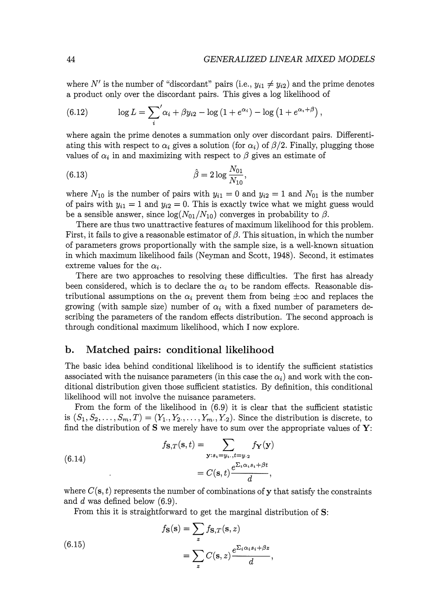where  $N'$  is the number of "discordant" pairs (i.e.,  $y_{i1} \neq y_{i2}$ ) and the prime denotes a product only over the discordant pairs. This gives a log likelihood of

(6.12) 
$$
\log L = \sum_{i}^{\prime} \alpha_i + \beta y_{i2} - \log (1 + e^{\alpha_i}) - \log (1 + e^{\alpha_i + \beta}),
$$

where again the prime denotes a summation only over discordant pairs. Differentiating this with respect to  $\alpha_i$  gives a solution (for  $\alpha_i$ ) of  $\beta/2$ . Finally, plugging those values of  $\alpha_i$  in and maximizing with respect to  $\beta$  gives an estimate of

(6.13) 
$$
\hat{\beta} = 2 \log \frac{N_{01}}{N_{10}},
$$

where  $N_{10}$  is the number of pairs with  $y_{i1} = 0$  and  $y_{i2} = 1$  and  $N_{01}$  is the number of pairs with  $y_{i1} = 1$  and  $y_{i2} = 0$ . This is exactly twice what we might guess would be a sensible answer, since  $\log(N_{01}/N_{10})$  converges in probability to  $\beta$ .

There are thus two unattractive features of maximum likelihood for this problem. First, it fails to give a reasonable estimator of  $\beta$ . This situation, in which the number of parameters grows proportionally with the sample size, is a well-known situation in which maximum likelihood fails (Neyman and Scott, 1948). Second, it estimates extreme values for the  $\alpha_i$ .

There are two approaches to resolving these difficulties. The first has already been considered, which is to declare the  $\alpha_i$  to be random effects. Reasonable distributional assumptions on the  $\alpha_i$  prevent them from being  $\pm \infty$  and replaces the growing (with sample size) number of  $\alpha_i$  with a fixed number of parameters describing the parameters of the random effects distribution. The second approach is through conditional maximum likelihood, which I now explore.

## **b. Matched pairs: conditional likelihood**

The basic idea behind conditional likelihood is to identify the sufficient statistics associated with the nuisance parameters (in this case the  $\alpha_i$ ) and work with the conditional distribution given those sufficient statistics. By definition, this conditional likelihood will not involve the nuisance parameters.

From the form of the likelihood in (6.9) it is clear that the sufficient statistic is  $(S_1, S_2, \ldots, S_m, T) = (Y_1, Y_2, \ldots, Y_m, Y_2)$ . Since the distribution is discrete, to find the distribution of  $S$  we merely have to sum over the appropriate values of  $Y$ :

(6.14)  

$$
f_{\mathbf{S},T}(\mathbf{s},t) = \sum_{\mathbf{y}:s_i = y_i, t = y_{\cdot 2}} f_{\mathbf{Y}}(\mathbf{y})
$$

$$
= C(\mathbf{s},t) \frac{e^{\sum_i \alpha_i s_i + \beta t}}{d},
$$

where  $C(s, t)$  represents the number of combinations of y that satisfy the constraints and *d* was defined below (6.9).

From this it is straightforward to get the marginal distribution of **S:** 

(6.15)  

$$
f_{\mathbf{S}}(\mathbf{s}) = \sum_{z} f_{\mathbf{S},T}(\mathbf{s}, z)
$$

$$
= \sum_{z} C(\mathbf{s}, z) \frac{e^{\sum_{i} \alpha_i s_i + \beta z}}{d},
$$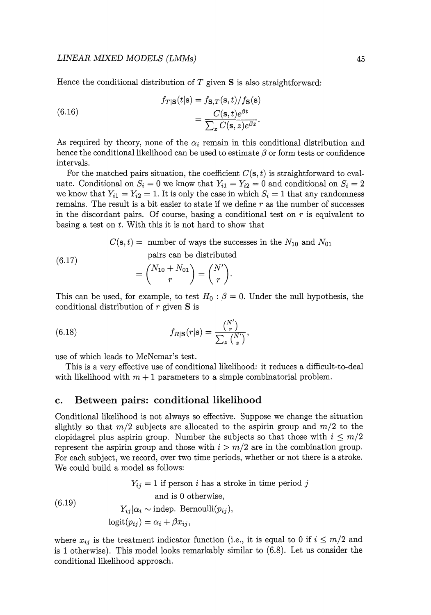Hence the conditional distribution of  $T$  given  $S$  is also straightforward:

(6.16) 
$$
f_{T|S}(t|S) = f_{S,T}(s,t)/f_{S}(s)
$$

$$
= \frac{C(s,t)e^{\beta t}}{\sum_{z} C(s,z)e^{\beta z}}.
$$

As required by theory, none of the  $\alpha_i$  remain in this conditional distribution and hence the conditional likelihood can be used to estimate  $\beta$  or form tests or confidence intervals.

For the matched pairs situation, the coefficient  $C(s, t)$  is straightforward to evaluate. Conditional on  $S_i = 0$  we know that  $Y_{i1} = Y_{i2} = 0$  and conditional on  $S_i = 2$ we know that  $Y_{i1} = Y_{i2} = 1$ . It is only the case in which  $S_i = 1$  that any randomness remains. The result is a bit easier to state if we define *r* as the number of successes in the discordant pairs. Of course, basing a conditional test on *r* is equivalent to basing a test on *t.* With this it is not hard to show that

$$
C(\mathbf{s}, t) = \text{ number of ways the successes in the } N_{10} \text{ and } N_{01}
$$
\n
$$
(6.17)
$$
\n
$$
= {N_{10} + N_{01} \choose r} = {N' \choose r}.
$$
\nThis can be used for example to test  $H_1 : \beta = 0$ . Under the null hypothesis

This can be used, for example, to test  $H_0$ :  $\beta = 0$ . Under the null hypothesis, the conditional distribution of r given **S** is

(6.18) 
$$
f_{R|\mathbf{S}}(r|\mathbf{s}) = \frac{\binom{N'}{r}}{\sum_{z} \binom{N'}{z}},
$$

use of which leads to McNemar's test.

This is a very effective use of conditional likelihood: it reduces a difficult-to-deal with likelihood with  $m + 1$  parameters to a simple combinatorial problem.

#### **c. Between pairs: conditional likelihood**

Conditional likelihood is not always so effective. Suppose we change the situation slightly so that  $m/2$  subjects are allocated to the aspirin group and  $m/2$  to the clopidagrel plus aspirin group. Number the subjects so that those with  $i \leq m/2$ represent the aspirin group and those with  $i > m/2$  are in the combination group. For each subject, we record, over two time periods, whether or not there is a stroke. We could build a model as follows:

(6.19)  $Y_{ij} = 1$  if person i has a stroke in time period j and is 0 otherwise,  $Y_{ii}|\alpha_i \sim \text{indep. Bernoulli}(p_{ii}),$  $logit(p_{ij}) = \alpha_i + \beta x_{ij}$ 

where  $x_{ij}$  is the treatment indicator function (i.e., it is equal to 0 if  $i \leq m/2$  and is 1 otherwise). This model looks remarkably similar to (6.8). Let us consider the conditional likelihood approach.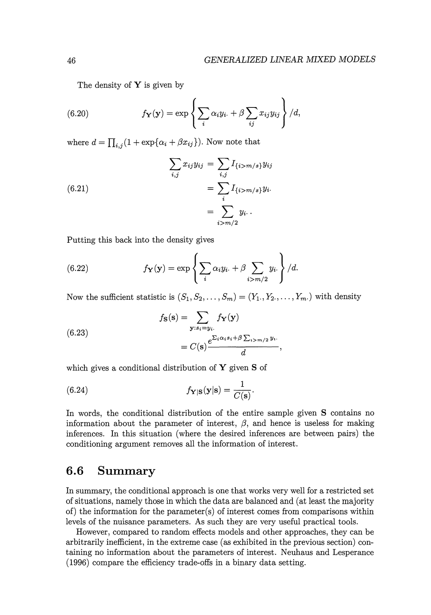The density of  $\mathbf Y$  is given by

(6.20) 
$$
f_{\mathbf{Y}}(\mathbf{y}) = \exp \left\{ \sum_{i} \alpha_{i} y_{i\cdot} + \beta \sum_{ij} x_{ij} y_{ij} \right\} / d,
$$

where  $d = \prod_{i,j} (1 + \exp{\{\alpha_i + \beta x_{ij}\}})$ . Now note that

(6.21)  

$$
\sum_{i,j} x_{ij} y_{ij} = \sum_{i,j} I_{\{i > m/s\}} y_{ij}
$$

$$
= \sum_{i} I_{\{i > m/s\}} y_i.
$$

$$
= \sum_{i > m/2} y_i.
$$

Putting this back into the density gives

(6.22) 
$$
f_{\mathbf{Y}}(\mathbf{y}) = \exp \left\{ \sum_{i} \alpha_i y_i + \beta \sum_{i > m/2} y_i \right\} / d.
$$

Now the sufficient statistic is  $(S_1, S_2, \ldots, S_m) = (Y_1, Y_2, \ldots, Y_m)$  with density

(6.23)  

$$
f_{\mathbf{S}}(\mathbf{s}) = \sum_{\mathbf{y}: s_i = y_i.} f_{\mathbf{Y}}(\mathbf{y})
$$

$$
= C(\mathbf{s}) \frac{e^{\sum_i \alpha_i s_i + \beta \sum_{i > m/2} y_i.}}{d}
$$

which gives a conditional distribution of Y given S of

(6.24) 
$$
f_{\mathbf{Y}|\mathbf{S}}(\mathbf{y}|\mathbf{s}) = \frac{1}{C(\mathbf{s})}.
$$

In words, the conditional distribution of the entire sample given S contains no information about the parameter of interest,  $\beta$ , and hence is useless for making inferences. In this situation (where the desired inferences are between pairs) the conditioning argument removes all the information of interest.

## **6.6 Summary**

In summary, the conditional approach is one that works very well for a restricted set of situations, namely those in which the data are balanced and (at least the majority of) the information for the parameter(s) of interest comes from comparisons within levels of the nuisance parameters. As such they are very useful practical tools.

However, compared to random effects models and other approaches, they can be arbitrarily inefficient, in the extreme case (as exhibited in the previous section) containing no information about the parameters of interest. Neuhaus and Lesperance (1996) compare the efficiency trade-offs in a binary data setting.